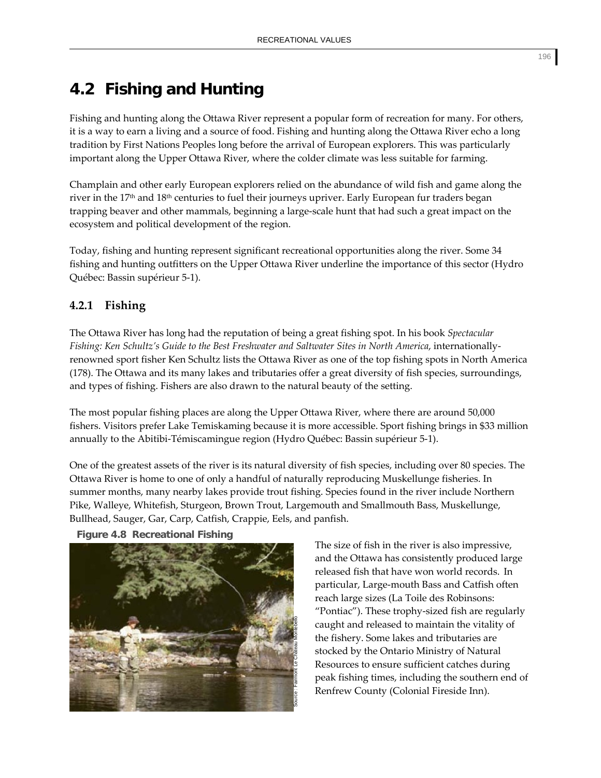## **4.2 Fishing and Hunting**

Fishing and hunting along the Ottawa River represent a popular form of recreation for many. For others, it is a way to earn a living and a source of food. Fishing and hunting along the Ottawa River echo a long tradition by First Nations Peoples long before the arrival of European explorers. This was particularly important along the Upper Ottawa River, where the colder climate was less suitable for farming.

Champlain and other early European explorers relied on the abundance of wild fish and game along the river in the 17th and 18th centuries to fuel their journeys upriver. Early European fur traders began trapping beaver and other mammals, beginning a large‐scale hunt that had such a great impact on the ecosystem and political development of the region.

Today, fishing and hunting represent significant recreational opportunities along the river. Some 34 fishing and hunting outfitters on the Upper Ottawa River underline the importance of this sector (Hydro Québec: Bassin supérieur 5‐1).

## **4.2.1 Fishing**

The Ottawa River has long had the reputation of being a great fishing spot. In his book *Spectacular Fishing: Ken Schultz's Guide to the Best Freshwater and Saltwater Sites in North America*, internationally‐ renowned sport fisher Ken Schultz lists the Ottawa River as one of the top fishing spots in North America (178). The Ottawa and its many lakes and tributaries offer a great diversity of fish species, surroundings, and types of fishing. Fishers are also drawn to the natural beauty of the setting.

The most popular fishing places are along the Upper Ottawa River, where there are around 50,000 fishers. Visitors prefer Lake Temiskaming because it is more accessible. Sport fishing brings in \$33 million annually to the Abitibi‐Témiscamingue region (Hydro Québec: Bassin supérieur 5‐1).

One of the greatest assets of the river is its natural diversity of fish species, including over 80 species. The Ottawa River is home to one of only a handful of naturally reproducing Muskellunge fisheries. In summer months, many nearby lakes provide trout fishing. Species found in the river include Northern Pike, Walleye, Whitefish, Sturgeon, Brown Trout, Largemouth and Smallmouth Bass, Muskellunge, Bullhead, Sauger, Gar, Carp, Catfish, Crappie, Eels, and panfish.





The size of fish in the river is also impressive, and the Ottawa has consistently produced large released fish that have won world records. In particular, Large‐mouth Bass and Catfish often reach large sizes (La Toile des Robinsons: "Pontiac"). These trophy‐sized fish are regularly caught and released to maintain the vitality of the fishery. Some lakes and tributaries are stocked by the Ontario Ministry of Natural Resources to ensure sufficient catches during peak fishing times, including the southern end of Renfrew County (Colonial Fireside Inn).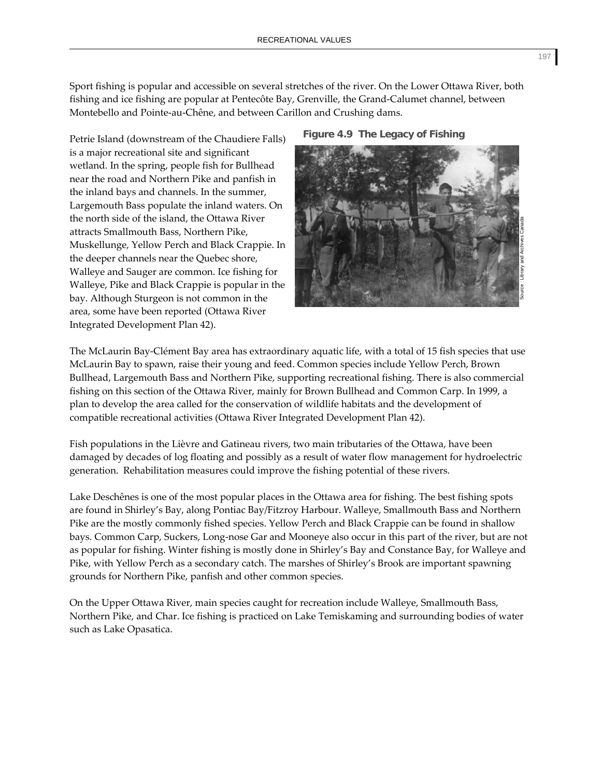Sport fishing is popular and accessible on several stretches of the river. On the Lower Ottawa River, both fishing and ice fishing are popular at Pentecôte Bay, Grenville, the Grand‐Calumet channel, between Montebello and Pointe‐au‐Chêne, and between Carillon and Crushing dams.

Petrie Island (downstream of the Chaudiere Falls) is a major recreational site and significant wetland. In the spring, people fish for Bullhead near the road and Northern Pike and panfish in the inland bays and channels. In the summer, Largemouth Bass populate the inland waters. On the north side of the island, the Ottawa River attracts Smallmouth Bass, Northern Pike, Muskellunge, Yellow Perch and Black Crappie. In the deeper channels near the Quebec shore, Walleye and Sauger are common. Ice fishing for Walleye, Pike and Black Crappie is popular in the bay. Although Sturgeon is not common in the area, some have been reported (Ottawa River Integrated Development Plan 42).





The McLaurin Bay‐Clément Bay area has extraordinary aquatic life, with a total of 15 fish species that use McLaurin Bay to spawn, raise their young and feed. Common species include Yellow Perch, Brown Bullhead, Largemouth Bass and Northern Pike, supporting recreational fishing. There is also commercial fishing on this section of the Ottawa River, mainly for Brown Bullhead and Common Carp. In 1999, a plan to develop the area called for the conservation of wildlife habitats and the development of compatible recreational activities (Ottawa River Integrated Development Plan 42).

Fish populations in the Lièvre and Gatineau rivers, two main tributaries of the Ottawa, have been damaged by decades of log floating and possibly as a result of water flow management for hydroelectric generation. Rehabilitation measures could improve the fishing potential of these rivers.

Lake Deschênes is one of the most popular places in the Ottawa area for fishing. The best fishing spots are found in Shirley's Bay, along Pontiac Bay/Fitzroy Harbour. Walleye, Smallmouth Bass and Northern Pike are the mostly commonly fished species. Yellow Perch and Black Crappie can be found in shallow bays. Common Carp, Suckers, Long‐nose Gar and Mooneye also occur in this part of the river, but are not as popular for fishing. Winter fishing is mostly done in Shirley's Bay and Constance Bay, for Walleye and Pike, with Yellow Perch as a secondary catch. The marshes of Shirley's Brook are important spawning grounds for Northern Pike, panfish and other common species.

On the Upper Ottawa River, main species caught for recreation include Walleye, Smallmouth Bass, Northern Pike, and Char. Ice fishing is practiced on Lake Temiskaming and surrounding bodies of water such as Lake Opasatica.